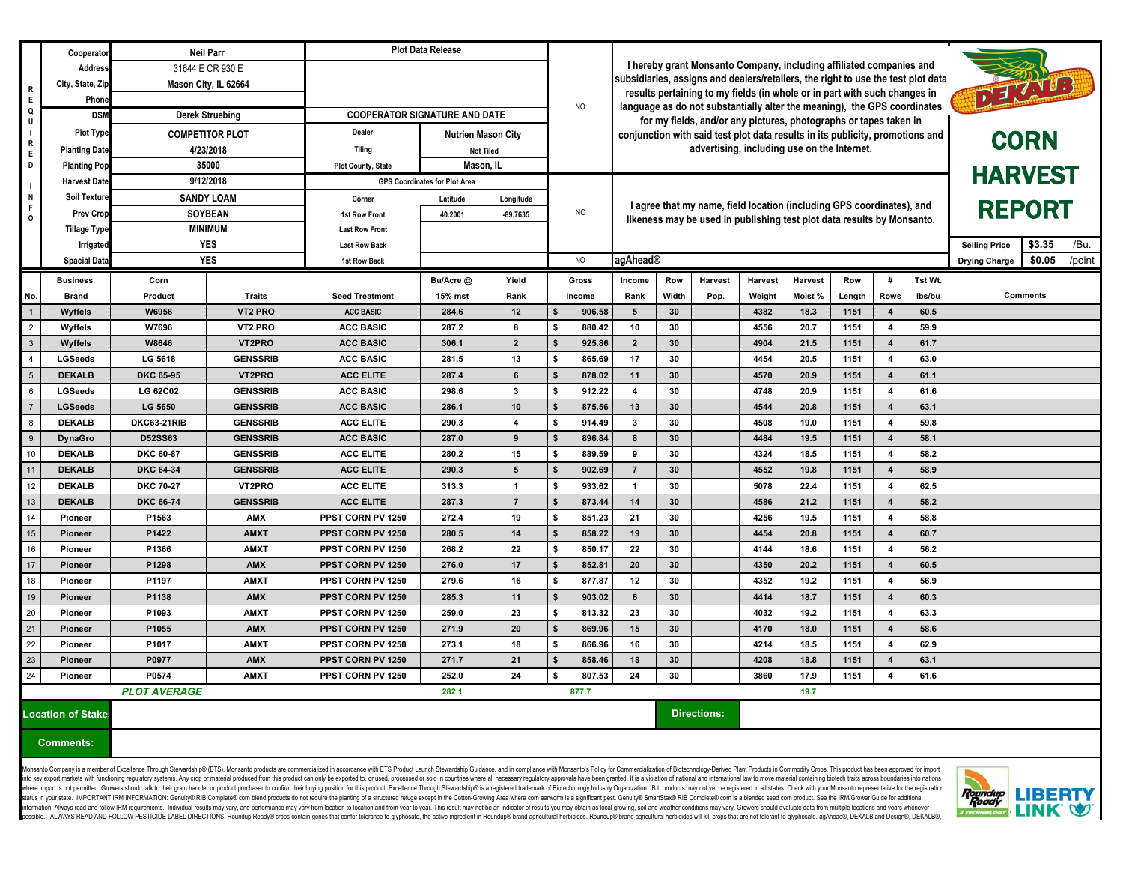|                                        | Cooperator           | <b>Neil Parr</b>             |                      | <b>Plot Data Release</b>             |                           |                                                                                                                                                                                                                                      |                |                                                                                                                                                 |                 |                    |                |                |            |                         |                                        |                                          |
|----------------------------------------|----------------------|------------------------------|----------------------|--------------------------------------|---------------------------|--------------------------------------------------------------------------------------------------------------------------------------------------------------------------------------------------------------------------------------|----------------|-------------------------------------------------------------------------------------------------------------------------------------------------|-----------------|--------------------|----------------|----------------|------------|-------------------------|----------------------------------------|------------------------------------------|
|                                        | Address              |                              | 31644 E CR 930 E     |                                      |                           | I hereby grant Monsanto Company, including affiliated companies and                                                                                                                                                                  |                |                                                                                                                                                 |                 |                    |                |                |            |                         |                                        |                                          |
| $\begin{array}{c} \n R \n \end{array}$ | City, State, Zip     |                              | Mason City, IL 62664 |                                      |                           | subsidiaries, assigns and dealers/retailers, the right to use the test plot data                                                                                                                                                     |                |                                                                                                                                                 |                 |                    |                |                |            |                         |                                        |                                          |
| E                                      | Phone                |                              |                      |                                      |                           | DELAND<br>results pertaining to my fields (in whole or in part with such changes in<br>language as do not substantially alter the meaning), the GPS coordinates<br>for my fields, and/or any pictures, photographs or tapes taken in |                |                                                                                                                                                 |                 |                    |                |                |            |                         |                                        |                                          |
| Q                                      | <b>DSM</b>           | <b>Derek Struebing</b>       |                      | <b>COOPERATOR SIGNATURE AND DATE</b> |                           |                                                                                                                                                                                                                                      |                |                                                                                                                                                 |                 |                    |                |                |            | NO                      |                                        |                                          |
|                                        | <b>Plot Type</b>     | <b>COMPETITOR PLOT</b>       |                      | <b>Dealer</b>                        | <b>Nutrien Mason City</b> |                                                                                                                                                                                                                                      |                | conjunction with said test plot data results in its publicity, promotions and                                                                   |                 |                    |                |                |            |                         |                                        |                                          |
| $\overline{R}$<br>E                    | <b>Planting Date</b> | 4/23/2018                    |                      | Tilina                               | <b>Not Tiled</b>          |                                                                                                                                                                                                                                      |                | advertising, including use on the Internet.                                                                                                     |                 |                    |                |                |            | <b>CORN</b>             |                                        |                                          |
| D                                      | <b>Planting Pop</b>  | 35000                        |                      | <b>Plot County, State</b>            | Mason, IL                 |                                                                                                                                                                                                                                      |                |                                                                                                                                                 |                 |                    |                |                |            |                         |                                        |                                          |
|                                        | <b>Harvest Date</b>  | 9/12/2018                    |                      | <b>GPS Coordinates for Plot Area</b> |                           |                                                                                                                                                                                                                                      |                |                                                                                                                                                 |                 |                    |                |                |            |                         |                                        | <b>HARVEST</b>                           |
| N<br>F<br>$\overline{\mathbf{o}}$      | <b>Soil Texture</b>  | <b>SANDY LOAM</b>            |                      | Corner                               | Latitude                  | Longitude                                                                                                                                                                                                                            |                |                                                                                                                                                 |                 |                    |                |                |            |                         |                                        |                                          |
|                                        | <b>Prev Crop</b>     | <b>SOYBEAN</b>               |                      | <b>1st Row Front</b>                 | 40.2001                   | -89.7635                                                                                                                                                                                                                             | <b>NO</b>      | I agree that my name, field location (including GPS coordinates), and<br>likeness may be used in publishing test plot data results by Monsanto. |                 |                    |                |                |            |                         | <b>REPORT</b>                          |                                          |
|                                        | <b>Tillage Type</b>  | <b>MINIMUM</b>               |                      | <b>Last Row Front</b>                |                           |                                                                                                                                                                                                                                      |                |                                                                                                                                                 |                 |                    |                |                |            |                         |                                        |                                          |
|                                        | <b>Irrigated</b>     | <b>YES</b>                   |                      | <b>Last Row Back</b>                 |                           |                                                                                                                                                                                                                                      |                |                                                                                                                                                 |                 |                    |                |                |            |                         | \$3.35<br>/Bu.<br><b>Selling Price</b> |                                          |
|                                        | <b>Spacial Data</b>  | <b>YES</b>                   |                      | 1st Row Back                         |                           |                                                                                                                                                                                                                                      | NO             | agAhead®                                                                                                                                        |                 |                    |                |                |            |                         |                                        | /point<br>\$0.05<br><b>Drying Charge</b> |
|                                        | <b>Business</b>      | Corn                         |                      |                                      | Bu/Acre @                 | Yield                                                                                                                                                                                                                                | <b>Gross</b>   | <b>Income</b>                                                                                                                                   | Row             | Harvest            | <b>Harvest</b> | <b>Harvest</b> | <b>Row</b> | #                       | Tst Wt.                                |                                          |
| No.                                    | <b>Brand</b>         | <b>Product</b>               | Traits               | <b>Seed Treatment</b>                | 15% mst                   | Rank                                                                                                                                                                                                                                 | <b>Income</b>  | Rank                                                                                                                                            | Width           | Pop.               | Weight         | Moist %        | Length     | <b>Rows</b>             | lbs/bu                                 | <b>Comments</b>                          |
| $\overline{1}$                         | <b>Wyffels</b>       | <b>W6956</b>                 | <b>VT2 PRO</b>       | <b>ACC BASIC</b>                     | 284.6                     | 12                                                                                                                                                                                                                                   | 906.58         | -5                                                                                                                                              | 30 <sup>°</sup> |                    | 4382           | 18.3           | 1151       | 4                       | 60.5                                   |                                          |
| $\overline{2}$                         | Wyffels              | W7696                        | VT2 PRO              | <b>ACC BASIC</b>                     | 287.2                     | 8                                                                                                                                                                                                                                    | 880.42         | 10                                                                                                                                              | 30              |                    | 4556           | 20.7           | 1151       | $\overline{\mathbf{4}}$ | 59.9                                   |                                          |
| $\overline{\big)$                      | <b>Wyffels</b>       | <b>W8646</b>                 | VT2PRO               | <b>ACC BASIC</b>                     | 306.1                     | $\overline{2}$                                                                                                                                                                                                                       | 925.86         | $\overline{2}$                                                                                                                                  | 30 <sup>°</sup> |                    | 4904           | 21.5           | 1151       | $\overline{4}$          | 61.7                                   |                                          |
| $\overline{\phantom{a}}_{4}$           | <b>LGSeeds</b>       | <b>LG 5618</b>               | <b>GENSSRIB</b>      | <b>ACC BASIC</b>                     | 281.5                     | 13                                                                                                                                                                                                                                   | 865.69<br>- \$ | 17                                                                                                                                              | 30              |                    | 4454           | 20.5           | 1151       |                         | 63.0                                   |                                          |
| $\overline{5}$                         | <b>DEKALB</b>        | <b>DKC 65-95</b>             | VT2PRO               | <b>ACC ELITE</b>                     | 287.4                     | 6                                                                                                                                                                                                                                    | 878.02         | 11                                                                                                                                              | 30 <sup>°</sup> |                    | 4570           | 20.9           | 1151       | $\overline{4}$          | 61.1                                   |                                          |
| 6                                      | <b>LGSeeds</b>       | <b>LG 62C02</b>              | <b>GENSSRIB</b>      | <b>ACC BASIC</b>                     | 298.6                     | 3                                                                                                                                                                                                                                    | 912.22<br>- \$ |                                                                                                                                                 | 30              |                    | 4748           | 20.9           | 1151       | 4                       | 61.6                                   |                                          |
| $\overline{7}$                         | <b>LGSeeds</b>       | <b>LG 5650</b>               | <b>GENSSRIB</b>      | <b>ACC BASIC</b>                     | 286.1                     | 10                                                                                                                                                                                                                                   | 875.56         | 13                                                                                                                                              | 30 <sup>°</sup> |                    | 4544           | 20.8           | 1151       | $\boldsymbol{\Lambda}$  | 63.1                                   |                                          |
| 8                                      | <b>DEKALB</b>        | <b>DKC63-21RIB</b>           | <b>GENSSRIB</b>      | <b>ACC ELITE</b>                     | 290.3                     | $\boldsymbol{4}$                                                                                                                                                                                                                     | 914.49<br>\$   | 3                                                                                                                                               | 30              |                    | 4508           | 19.0           | 1151       | $\overline{\mathbf{4}}$ | 59.8                                   |                                          |
| $\overline{9}$                         | <b>DynaGro</b>       | <b>D52SS63</b>               | <b>GENSSRIB</b>      | <b>ACC BASIC</b>                     | 287.0                     | 9                                                                                                                                                                                                                                    | 896.84         | 8                                                                                                                                               | 30 <sup>°</sup> |                    | 4484           | 19.5           | 1151       | $\overline{4}$          | 58.1                                   |                                          |
| 10                                     | <b>DEKALB</b>        | <b>DKC 60-87</b>             | <b>GENSSRIB</b>      | <b>ACC ELITE</b>                     | 280.2                     | 15                                                                                                                                                                                                                                   | 889.59         | 9                                                                                                                                               | 30              |                    | 4324           | 18.5           | 1151       | $\overline{\mathbf{4}}$ | 58.2                                   |                                          |
| 11                                     | <b>DEKALB</b>        | <b>DKC 64-34</b>             | <b>GENSSRIB</b>      | <b>ACC ELITE</b>                     | 290.3                     | 5                                                                                                                                                                                                                                    | 902.69         | 7                                                                                                                                               | 30 <sub>o</sub> |                    | 4552           | 19.8           | 1151       | $\overline{4}$          | 58.9                                   |                                          |
| 12                                     | <b>DEKALB</b>        | <b>DKC 70-27</b>             | VT2PRO               | <b>ACC ELITE</b>                     | 313.3                     | $\overline{\mathbf{1}}$                                                                                                                                                                                                              | 933.62         |                                                                                                                                                 | 30              |                    | 5078           | 22.4           | 1151       |                         | 62.5                                   |                                          |
| $\frac{13}{14}$                        | <b>DEKALB</b>        | <b>DKC 66-74</b>             | <b>GENSSRIB</b>      | <b>ACC ELITE</b>                     | 287.3                     |                                                                                                                                                                                                                                      | 873.44<br>- \$ | 14                                                                                                                                              | 30 <sup>°</sup> |                    | 4586           | 21.2           | 1151       | $\overline{\mathbf{4}}$ | 58.2                                   |                                          |
|                                        | <b>Pioneer</b>       | P1563                        | <b>AMX</b>           | PPST CORN PV 1250                    | 272.4                     | 19                                                                                                                                                                                                                                   | \$<br>851.23   | 21                                                                                                                                              | 30              |                    | 4256           | 19.5           | 1151       |                         | 58.8                                   |                                          |
| 15                                     | <b>Pioneer</b>       | P1422                        | <b>AMXT</b>          | <b>PPST CORN PV 1250</b>             | 280.5                     | 14                                                                                                                                                                                                                                   | S.<br>858.22   | 19                                                                                                                                              | 30 <sup>°</sup> |                    | 4454           | 20.8           | 1151       | $\overline{\mathbf{4}}$ | 60.7                                   |                                          |
| $\overline{16}$                        | Pioneer              | P1366                        | <b>AMXT</b>          | PPST CORN PV 1250                    | 268.2                     | 22                                                                                                                                                                                                                                   | 850.17         | 22                                                                                                                                              | 30              |                    | 4144           | 18.6           | 1151       |                         | 56.2                                   |                                          |
| 17                                     | <b>Pioneer</b>       | P1298                        | <b>AMX</b>           | PPST CORN PV 1250                    | 276.0                     | 17                                                                                                                                                                                                                                   | 852.81         | 20                                                                                                                                              | 30 <sup>°</sup> |                    | 4350           | 20.2           | 1151       | $\overline{4}$          | 60.5                                   |                                          |
| $\frac{1}{18}$                         | <b>Pioneer</b>       | P1197                        | <b>AMXT</b>          | PPST CORN PV 1250                    | 279.6                     | 16                                                                                                                                                                                                                                   | 877.87<br>-S   | 12                                                                                                                                              | 30              |                    | 4352           | 19.2           | 1151       | 4                       | 56.9                                   |                                          |
| 19                                     | <b>Pioneer</b>       | P1138                        | <b>AMX</b>           | PPST CORN PV 1250                    | 285.3                     | 11                                                                                                                                                                                                                                   | 903.02<br>- \$ | 6                                                                                                                                               | 30 <sub>o</sub> |                    | 4414           | 18.7           | 1151       | $\overline{4}$          | 60.3                                   |                                          |
| $\overline{20}$                        | <b>Pioneer</b>       | P1093                        | <b>AMXT</b>          | <b>PPST CORN PV 1250</b>             | 259.0                     | 23                                                                                                                                                                                                                                   | 813.32<br>\$   | 23                                                                                                                                              | 30              |                    | 4032           | 19.2           | 1151       | 4                       | 63.3                                   |                                          |
| $\frac{1}{21}$ $\frac{21}{22}$         | <b>Pioneer</b>       | P1055                        | <b>AMX</b>           | PPST CORN PV 1250                    | 271.9                     | 20 <sub>2</sub>                                                                                                                                                                                                                      | 869.96         | 15                                                                                                                                              | 30 <sup>°</sup> |                    | 4170           | 18.0           | 1151       | $\overline{4}$          | 58.6                                   |                                          |
|                                        | Pioneer              | P1017                        | <b>AMXT</b>          | PPST CORN PV 1250                    | 273.1                     | 18                                                                                                                                                                                                                                   | 866.96         | 16                                                                                                                                              | 30              |                    | 4214           | 18.5           | 1151       | 4                       | 62.9                                   |                                          |
| 23                                     | <b>Pioneer</b>       | P0977                        | <b>AMX</b>           | PPST CORN PV 1250                    | 271.7                     | 21                                                                                                                                                                                                                                   | 858.46         | 18                                                                                                                                              | 30 <sub>o</sub> |                    | 4208           | 18.8           | 1151       | 4                       | 63.1                                   |                                          |
| $\overline{24}$                        | <b>Pioneer</b>       | P0574                        | <b>AMXT</b>          | <b>PPST CORN PV 1250</b>             | 252.0                     | 24                                                                                                                                                                                                                                   | 807.53         | 24                                                                                                                                              | 30              |                    | 3860           | 17.9           | 1151       |                         | 61.6                                   |                                          |
|                                        |                      | <b>PLOT AVERAGE</b><br>282.1 |                      |                                      |                           |                                                                                                                                                                                                                                      | 877.7          |                                                                                                                                                 | 19.7            |                    |                |                |            |                         |                                        |                                          |
| <b>Location of Stake:</b>              |                      |                              |                      |                                      |                           |                                                                                                                                                                                                                                      |                |                                                                                                                                                 |                 | <b>Directions:</b> |                |                |            |                         |                                        |                                          |
| Comments:                              |                      |                              |                      |                                      |                           |                                                                                                                                                                                                                                      |                |                                                                                                                                                 |                 |                    |                |                |            |                         |                                        |                                          |

Monsanto Company is a member of Excellence Through Stewardship® (ETS). Monsanto products are commercialized in accordance with ETS Product Launch Stewardship Guidance, and in compliance with Monsanto's Policy for Commercia into key export markets with functioning regulatory systems. Any crop or material produced from this product can only be exported to, or used, processed or sold in countries where all necessary regulatory approvals have be where import is not permitted. Growers should talk to their grain handler or product purchaser to confirm their buying position for this product. Excellence Through Stewardship® is a registered trademark of Biotechnology I status in your state. IMPORTANT IRM INFORMATION: Genuity® RIB Complete® com blend products do not require the planting of a structured refuge except in the Cotton-Growing Area where com earworm is a significant pest. Genui information. Always read and follow IRM requirements. Individual results may vary, and performance may vary, and performance may vary from location to location to location and from year to year. This result may not be an i possible. ALWAYS READ AND FOLLOW PESTICIDE LABEL DIRECTIONS. Roundup Readv® crops contain genes that confer tolerance to glyphosate, the active ingredient in Roundup® brand agricultural herbicides. Roundup® brand agricultu